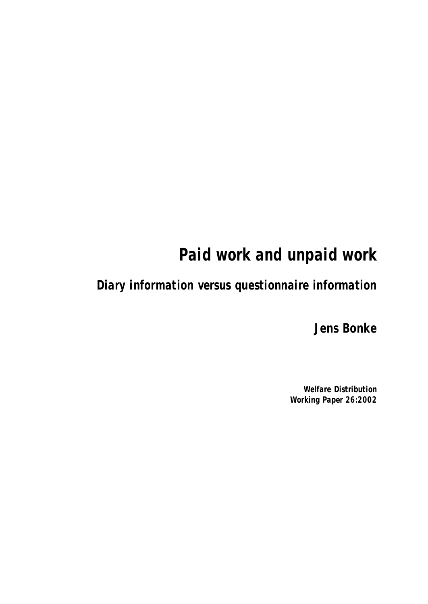# *Paid work and unpaid work*

## *Diary information versus questionnaire information*

**Jens Bonke**

*Welfare Distribution Working Paper 26:2002*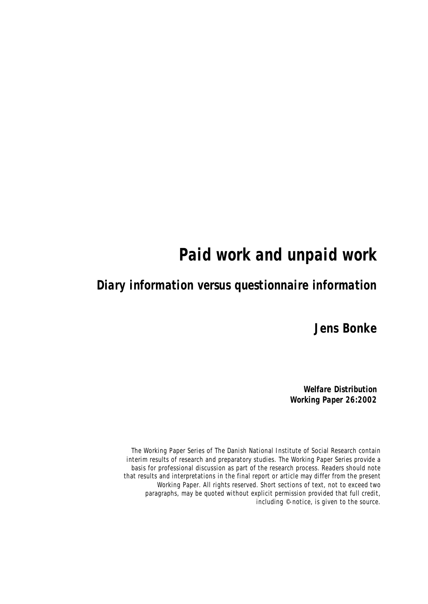## *Paid work and unpaid work*

### *Diary information versus questionnaire information*

**Jens Bonke**

*Welfare Distribution Working Paper 26:2002*

The Working Paper Series of The Danish National Institute of Social Research contain interim results of research and preparatory studies. The Working Paper Series provide a basis for professional discussion as part of the research process. Readers should note that results and interpretations in the final report or article may differ from the present Working Paper. All rights reserved. Short sections of text, not to exceed two paragraphs, may be quoted without explicit permission provided that full credit, including ©-notice, is given to the source.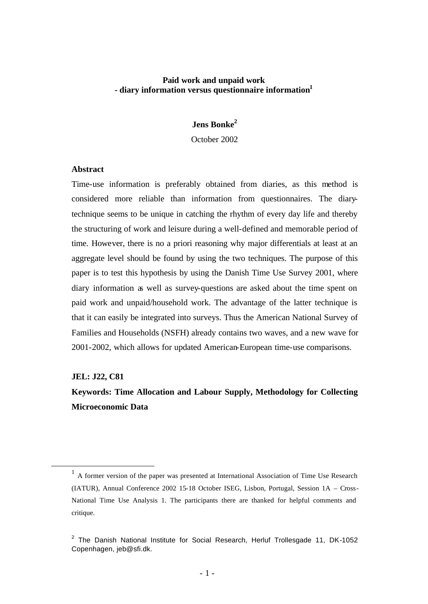#### **Paid work and unpaid work - diary information versus questionnaire information<sup>1</sup>**

#### **Jens Bonke<sup>2</sup>**

October 2002

#### **Abstract**

Time-use information is preferably obtained from diaries, as this method is considered more reliable than information from questionnaires. The diarytechnique seems to be unique in catching the rhythm of every day life and thereby the structuring of work and leisure during a well-defined and memorable period of time. However, there is no a priori reasoning why major differentials at least at an aggregate level should be found by using the two techniques. The purpose of this paper is to test this hypothesis by using the Danish Time Use Survey 2001, where diary information as well as survey-questions are asked about the time spent on paid work and unpaid/household work. The advantage of the latter technique is that it can easily be integrated into surveys. Thus the American National Survey of Families and Households (NSFH) already contains two waves, and a new wave for 2001-2002, which allows for updated American-European time-use comparisons.

#### **JEL: J22, C81**

l

### **Keywords: Time Allocation and Labour Supply, Methodology for Collecting Microeconomic Data**

<sup>&</sup>lt;sup>1</sup> A former version of the paper was presented at International Association of Time Use Research (IATUR), Annual Conference 2002 15-18 October ISEG, Lisbon, Portugal, Session 1A – Cross-National Time Use Analysis 1. The participants there are thanked for helpful comments and critique.

 $2$  The Danish National Institute for Social Research, Herluf Trollesgade 11, DK-1052 Copenhagen, jeb@sfi.dk.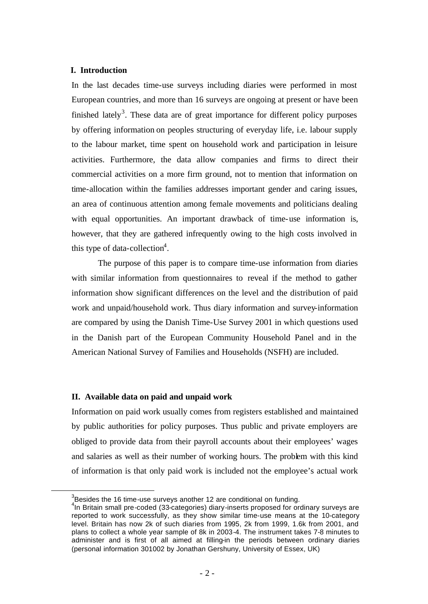#### **I. Introduction**

In the last decades time-use surveys including diaries were performed in most European countries, and more than 16 surveys are ongoing at present or have been finished lately<sup>3</sup>. These data are of great importance for different policy purposes by offering information on peoples structuring of everyday life, i.e. labour supply to the labour market, time spent on household work and participation in leisure activities. Furthermore, the data allow companies and firms to direct their commercial activities on a more firm ground, not to mention that information on time-allocation within the families addresses important gender and caring issues, an area of continuous attention among female movements and politicians dealing with equal opportunities. An important drawback of time-use information is, however, that they are gathered infrequently owing to the high costs involved in this type of data-collection<sup>4</sup>.

The purpose of this paper is to compare time-use information from diaries with similar information from questionnaires to reveal if the method to gather information show significant differences on the level and the distribution of paid work and unpaid/household work. Thus diary information and survey-information are compared by using the Danish Time-Use Survey 2001 in which questions used in the Danish part of the European Community Household Panel and in the American National Survey of Families and Households (NSFH) are included.

#### **II. Available data on paid and unpaid work**

l

Information on paid work usually comes from registers established and maintained by public authorities for policy purposes. Thus public and private employers are obliged to provide data from their payroll accounts about their employees' wages and salaries as well as their number of working hours. The problem with this kind of information is that only paid work is included not the employee's actual work

 $3$ Besides the 16 time-use surveys another 12 are conditional on funding.

<sup>4</sup> In Britain small pre-coded (33-categories) diary-inserts proposed for ordinary surveys are reported to work successfully, as they show similar time-use means at the 10-category level. Britain has now 2k of such diaries from 1995, 2k from 1999, 1.6k from 2001, and plans to collect a whole year sample of 8k in 2003-4. The instrument takes 7-8 minutes to administer and is first of all aimed at filling-in the periods between ordinary diaries (personal information 301002 by Jonathan Gershuny, University of Essex, UK)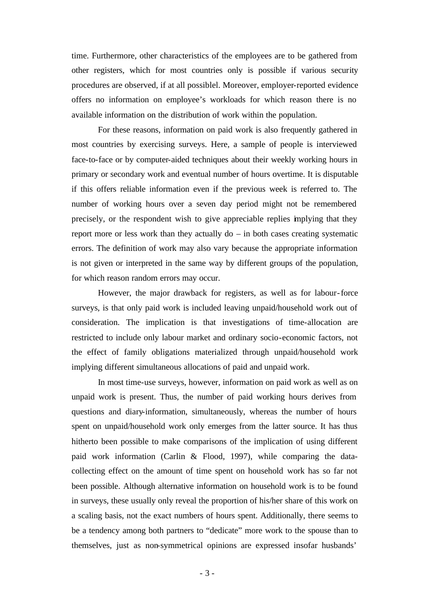time. Furthermore, other characteristics of the employees are to be gathered from other registers, which for most countries only is possible if various security procedures are observed, if at all possiblel. Moreover, employer-reported evidence offers no information on employee's workloads for which reason there is no available information on the distribution of work within the population.

For these reasons, information on paid work is also frequently gathered in most countries by exercising surveys. Here, a sample of people is interviewed face-to-face or by computer-aided techniques about their weekly working hours in primary or secondary work and eventual number of hours overtime. It is disputable if this offers reliable information even if the previous week is referred to. The number of working hours over a seven day period might not be remembered precisely, or the respondent wish to give appreciable replies implying that they report more or less work than they actually do – in both cases creating systematic errors. The definition of work may also vary because the appropriate information is not given or interpreted in the same way by different groups of the population, for which reason random errors may occur.

However, the major drawback for registers, as well as for labour-force surveys, is that only paid work is included leaving unpaid/household work out of consideration. The implication is that investigations of time-allocation are restricted to include only labour market and ordinary socio-economic factors, not the effect of family obligations materialized through unpaid/household work implying different simultaneous allocations of paid and unpaid work.

In most time-use surveys, however, information on paid work as well as on unpaid work is present. Thus, the number of paid working hours derives from questions and diary-information, simultaneously, whereas the number of hours spent on unpaid/household work only emerges from the latter source. It has thus hitherto been possible to make comparisons of the implication of using different paid work information (Carlin & Flood, 1997), while comparing the datacollecting effect on the amount of time spent on household work has so far not been possible. Although alternative information on household work is to be found in surveys, these usually only reveal the proportion of his/her share of this work on a scaling basis, not the exact numbers of hours spent. Additionally, there seems to be a tendency among both partners to "dedicate" more work to the spouse than to themselves, just as non-symmetrical opinions are expressed insofar husbands'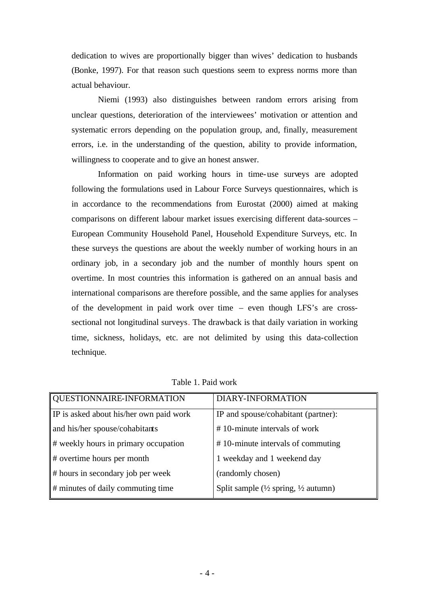dedication to wives are proportionally bigger than wives' dedication to husbands (Bonke, 1997). For that reason such questions seem to express norms more than actual behaviour.

Niemi (1993) also distinguishes between random errors arising from unclear questions, deterioration of the interviewees' motivation or attention and systematic errors depending on the population group, and, finally, measurement errors, i.e. in the understanding of the question, ability to provide information, willingness to cooperate and to give an honest answer.

Information on paid working hours in time-use surveys are adopted following the formulations used in Labour Force Surveys questionnaires, which is in accordance to the recommendations from Eurostat (2000) aimed at making comparisons on different labour market issues exercising different data-sources – European Community Household Panel, Household Expenditure Surveys, etc. In these surveys the questions are about the weekly number of working hours in an ordinary job, in a secondary job and the number of monthly hours spent on overtime. In most countries this information is gathered on an annual basis and international comparisons are therefore possible, and the same applies for analyses of the development in paid work over time – even though LFS's are crosssectional not longitudinal surveys. The drawback is that daily variation in working time, sickness, holidays, etc. are not delimited by using this data-collection technique.

| QUESTIONNAIRE-INFORMATION               | <b>DIARY-INFORMATION</b>                                  |
|-----------------------------------------|-----------------------------------------------------------|
| IP is asked about his/her own paid work | IP and spouse/cohabitant (partner):                       |
| and his/her spouse/cohabitants          | #10-minute intervals of work                              |
| # weekly hours in primary occupation    | #10-minute intervals of commuting                         |
| # overtime hours per month              | 1 weekday and 1 weekend day                               |
| # hours in secondary job per week       | (randomly chosen)                                         |
| # minutes of daily commuting time       | Split sample $(\frac{1}{2}$ spring, $\frac{1}{2}$ autumn) |

Table 1. Paid work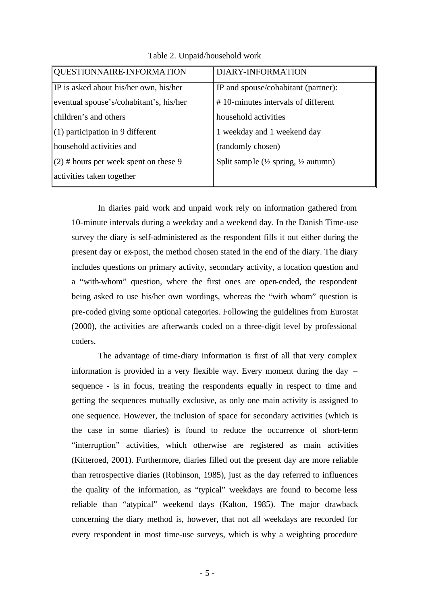| QUESTIONNAIRE-INFORMATION               | DIARY-INFORMATION                                         |
|-----------------------------------------|-----------------------------------------------------------|
| IP is asked about his/her own, his/her  | IP and spouse/cohabitant (partner):                       |
| eventual spouse's/cohabitant's, his/her | #10-minutes intervals of different                        |
| children's and others                   | household activities                                      |
| (1) participation in 9 different        | 1 weekday and 1 weekend day                               |
| household activities and                | (randomly chosen)                                         |
| $(2)$ # hours per week spent on these 9 | Split sample $(\frac{1}{2}$ spring, $\frac{1}{2}$ autumn) |
| activities taken together               |                                                           |

Table 2. Unpaid/household work

In diaries paid work and unpaid work rely on information gathered from 10-minute intervals during a weekday and a weekend day. In the Danish Time-use survey the diary is self-administered as the respondent fills it out either during the present day or ex-post, the method chosen stated in the end of the diary. The diary includes questions on primary activity, secondary activity, a location question and a "with-whom" question, where the first ones are open-ended, the respondent being asked to use his/her own wordings, whereas the "with whom" question is pre-coded giving some optional categories. Following the guidelines from Eurostat (2000), the activities are afterwards coded on a three-digit level by professional coders.

The advantage of time-diary information is first of all that very complex information is provided in a very flexible way. Every moment during the day – sequence - is in focus, treating the respondents equally in respect to time and getting the sequences mutually exclusive, as only one main activity is assigned to one sequence. However, the inclusion of space for secondary activities (which is the case in some diaries) is found to reduce the occurrence of short-term "interruption" activities, which otherwise are registered as main activities (Kitteroed, 2001). Furthermore, diaries filled out the present day are more reliable than retrospective diaries (Robinson, 1985), just as the day referred to influences the quality of the information, as "typical" weekdays are found to become less reliable than "atypical" weekend days (Kalton, 1985). The major drawback concerning the diary method is, however, that not all weekdays are recorded for every respondent in most time-use surveys, which is why a weighting procedure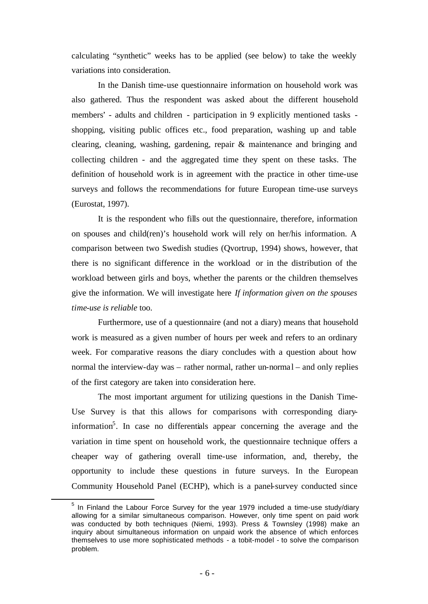calculating "synthetic" weeks has to be applied (see below) to take the weekly variations into consideration.

In the Danish time-use questionnaire information on household work was also gathered. Thus the respondent was asked about the different household members' - adults and children - participation in 9 explicitly mentioned tasks shopping, visiting public offices etc., food preparation, washing up and table clearing, cleaning, washing, gardening, repair & maintenance and bringing and collecting children - and the aggregated time they spent on these tasks. The definition of household work is in agreement with the practice in other time-use surveys and follows the recommendations for future European time-use surveys (Eurostat, 1997).

It is the respondent who fills out the questionnaire, therefore, information on spouses and child(ren)'s household work will rely on her/his information. A comparison between two Swedish studies (Qvortrup, 1994) shows, however, that there is no significant difference in the workload or in the distribution of the workload between girls and boys, whether the parents or the children themselves give the information. We will investigate here *If information given on the spouses time-use is reliable* too.

Furthermore, use of a questionnaire (and not a diary) means that household work is measured as a given number of hours per week and refers to an ordinary week. For comparative reasons the diary concludes with a question about how normal the interview-day was – rather normal, rather un-normal – and only replies of the first category are taken into consideration here.

The most important argument for utilizing questions in the Danish Time-Use Survey is that this allows for comparisons with corresponding diaryinformation<sup>5</sup>. In case no differentials appear concerning the average and the variation in time spent on household work, the questionnaire technique offers a cheaper way of gathering overall time-use information, and, thereby, the opportunity to include these questions in future surveys. In the European Community Household Panel (ECHP), which is a panel-survey conducted since

l

 $<sup>5</sup>$  In Finland the Labour Force Survey for the year 1979 included a time-use study/diary</sup> allowing for a similar simultaneous comparison. However, only time spent on paid work was conducted by both techniques (Niemi, 1993). Press & Townsley (1998) make an inquiry about simultaneous information on unpaid work the absence of which enforces themselves to use more sophisticated methods - a tobit-model - to solve the comparison problem.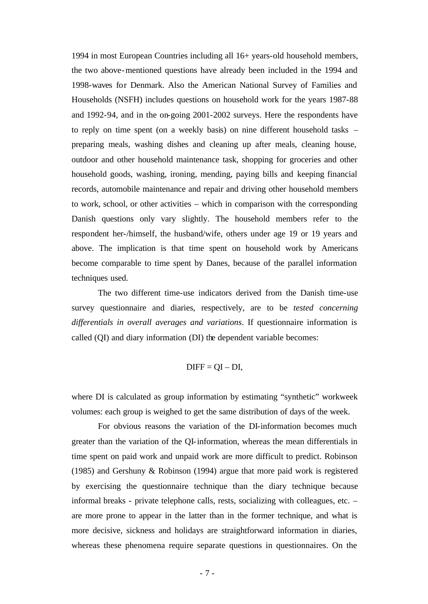1994 in most European Countries including all 16+ years-old household members, the two above-mentioned questions have already been included in the 1994 and 1998-waves for Denmark. Also the American National Survey of Families and Households (NSFH) includes questions on household work for the years 1987-88 and 1992-94, and in the on-going 2001-2002 surveys. Here the respondents have to reply on time spent (on a weekly basis) on nine different household tasks – preparing meals, washing dishes and cleaning up after meals, cleaning house, outdoor and other household maintenance task, shopping for groceries and other household goods, washing, ironing, mending, paying bills and keeping financial records, automobile maintenance and repair and driving other household members to work, school, or other activities – which in comparison with the corresponding Danish questions only vary slightly. The household members refer to the respondent her-/himself, the husband/wife, others under age 19 or 19 years and above. The implication is that time spent on household work by Americans become comparable to time spent by Danes, because of the parallel information techniques used.

The two different time-use indicators derived from the Danish time-use survey questionnaire and diaries, respectively, are to be *tested concerning differentials in overall averages and variations*. If questionnaire information is called (QI) and diary information (DI) the dependent variable becomes:

$$
DIFF = QI - DI,
$$

where DI is calculated as group information by estimating "synthetic" workweek volumes: each group is weighed to get the same distribution of days of the week.

For obvious reasons the variation of the DI-information becomes much greater than the variation of the QI-information, whereas the mean differentials in time spent on paid work and unpaid work are more difficult to predict. Robinson (1985) and Gershuny & Robinson (1994) argue that more paid work is registered by exercising the questionnaire technique than the diary technique because informal breaks - private telephone calls, rests, socializing with colleagues, etc. – are more prone to appear in the latter than in the former technique, and what is more decisive, sickness and holidays are straightforward information in diaries, whereas these phenomena require separate questions in questionnaires. On the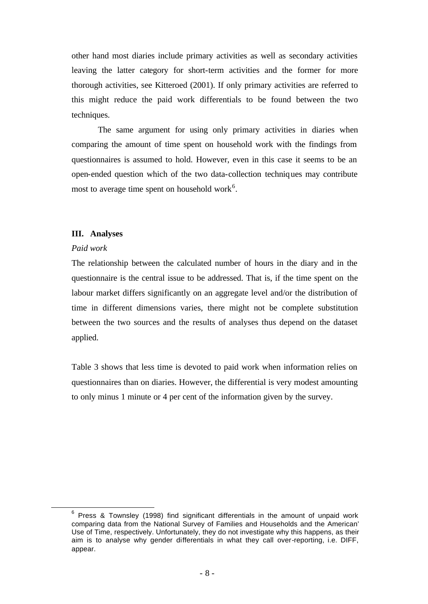other hand most diaries include primary activities as well as secondary activities leaving the latter category for short-term activities and the former for more thorough activities, see Kitteroed (2001). If only primary activities are referred to this might reduce the paid work differentials to be found between the two techniques.

The same argument for using only primary activities in diaries when comparing the amount of time spent on household work with the findings from questionnaires is assumed to hold. However, even in this case it seems to be an open-ended question which of the two data-collection techniques may contribute most to average time spent on household work<sup>6</sup>.

#### **III. Analyses**

#### *Paid work*

l

The relationship between the calculated number of hours in the diary and in the questionnaire is the central issue to be addressed. That is, if the time spent on the labour market differs significantly on an aggregate level and/or the distribution of time in different dimensions varies, there might not be complete substitution between the two sources and the results of analyses thus depend on the dataset applied.

Table 3 shows that less time is devoted to paid work when information relies on questionnaires than on diaries. However, the differential is very modest amounting to only minus 1 minute or 4 per cent of the information given by the survey.

 $6$  Press & Townsley (1998) find significant differentials in the amount of unpaid work comparing data from the National Survey of Families and Households and the American' Use of Time, respectively. Unfortunately, they do not investigate why this happens, as their aim is to analyse why gender differentials in what they call over-reporting, i.e. DIFF, appear.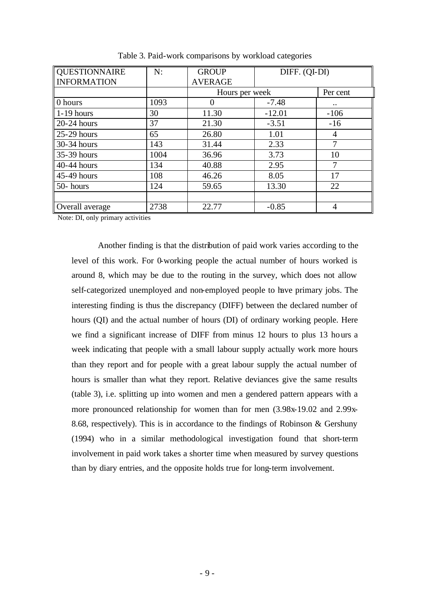| <b>QUESTIONNAIRE</b> | N:   | <b>GROUP</b>   | DIFF. (QI-DI) |           |
|----------------------|------|----------------|---------------|-----------|
| <b>INFORMATION</b>   |      | <b>AVERAGE</b> |               |           |
|                      |      | Hours per week |               | Per cent  |
| 0 hours              | 1093 |                | $-7.48$       | $\ddotsc$ |
| $1-19$ hours         | 30   | 11.30          | $-12.01$      | $-106$    |
| $20-24$ hours        | 37   | 21.30          | $-3.51$       | $-16$     |
| $25-29$ hours        | 65   | 26.80          | 1.01          | 4         |
| 30-34 hours          | 143  | 31.44          | 2.33          | 7         |
| 35-39 hours          | 1004 | 36.96          | 3.73          | 10        |
| 40-44 hours          | 134  | 40.88          | 2.95          | 7         |
| $45-49$ hours        | 108  | 46.26          | 8.05          | 17        |
| 50-hours             | 124  | 59.65          | 13.30         | 22        |
|                      |      |                |               |           |
| Overall average      | 2738 | 22.77          | $-0.85$       | 4         |

Table 3. Paid-work comparisons by workload categories

Note: DI, only primary activities

Another finding is that the distribution of paid work varies according to the level of this work. For 0-working people the actual number of hours worked is around 8, which may be due to the routing in the survey, which does not allow self-categorized unemployed and non-employed people to have primary jobs. The interesting finding is thus the discrepancy (DIFF) between the declared number of hours (QI) and the actual number of hours (DI) of ordinary working people. Here we find a significant increase of DIFF from minus 12 hours to plus 13 hours a week indicating that people with a small labour supply actually work more hours than they report and for people with a great labour supply the actual number of hours is smaller than what they report. Relative deviances give the same results (table 3), i.e. splitting up into women and men a gendered pattern appears with a more pronounced relationship for women than for men (3.98x-19.02 and 2.99x-8.68, respectively). This is in accordance to the findings of Robinson & Gershuny (1994) who in a similar methodological investigation found that short-term involvement in paid work takes a shorter time when measured by survey questions than by diary entries, and the opposite holds true for long-term involvement.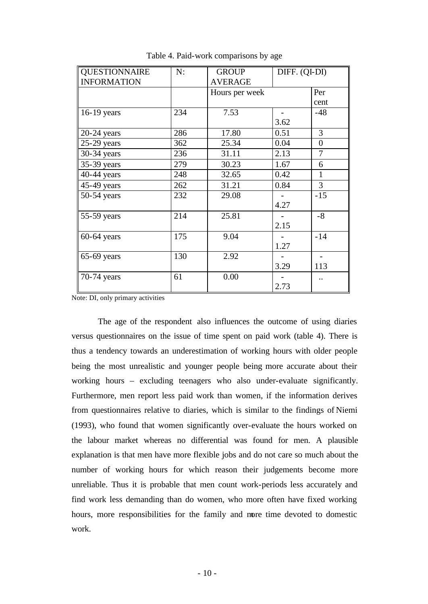| <b>QUESTIONNAIRE</b>      | N:  | <b>GROUP</b>   | DIFF. (QI-DI) |                |
|---------------------------|-----|----------------|---------------|----------------|
| <b>INFORMATION</b>        |     | <b>AVERAGE</b> |               |                |
|                           |     | Hours per week |               | Per            |
|                           |     |                |               | cent           |
| 16-19 years               | 234 | 7.53           |               | $-48$          |
|                           |     |                | 3.62          |                |
| $20-24$ years             | 286 | 17.80          | 0.51          | 3              |
| $25-29$ years             | 362 | 25.34          | 0.04          | $\overline{0}$ |
| 30-34 years               | 236 | 31.11          | 2.13          | $\overline{7}$ |
| 35-39 years               | 279 | 30.23          | 1.67          | 6              |
| $\overline{40}$ -44 years | 248 | 32.65          | 0.42          | $\mathbf{1}$   |
| 45-49 years               | 262 | 31.21          | 0.84          | 3              |
| 50-54 years               | 232 | 29.08          |               | $-15$          |
|                           |     |                | 4.27          |                |
| 55-59 years               | 214 | 25.81          |               | $-8$           |
|                           |     |                | 2.15          |                |
| $60-64$ years             | 175 | 9.04           |               | $-14$          |
|                           |     |                | 1.27          |                |
| $65-69$ years             | 130 | 2.92           |               |                |
|                           |     |                | 3.29          | 113            |
| 70-74 years               | 61  | 0.00           |               |                |
|                           |     |                | 2.73          |                |

Table 4. Paid-work comparisons by age

Note: DI, only primary activities

The age of the respondent also influences the outcome of using diaries versus questionnaires on the issue of time spent on paid work (table 4). There is thus a tendency towards an underestimation of working hours with older people being the most unrealistic and younger people being more accurate about their working hours – excluding teenagers who also under-evaluate significantly. Furthermore, men report less paid work than women, if the information derives from questionnaires relative to diaries, which is similar to the findings of Niemi (1993), who found that women significantly over-evaluate the hours worked on the labour market whereas no differential was found for men. A plausible explanation is that men have more flexible jobs and do not care so much about the number of working hours for which reason their judgements become more unreliable. Thus it is probable that men count work-periods less accurately and find work less demanding than do women, who more often have fixed working hours, more responsibilities for the family and more time devoted to domestic work.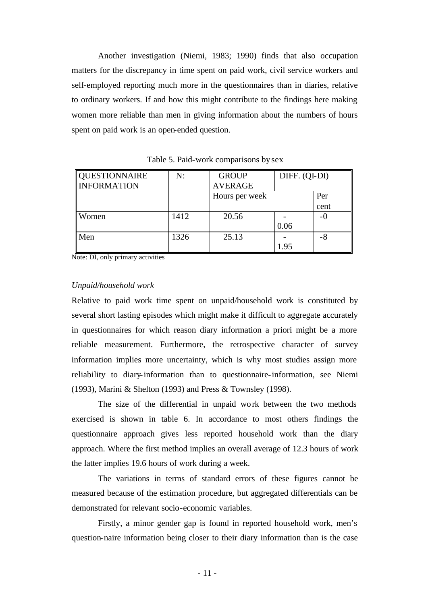Another investigation (Niemi, 1983; 1990) finds that also occupation matters for the discrepancy in time spent on paid work, civil service workers and self-employed reporting much more in the questionnaires than in diaries, relative to ordinary workers. If and how this might contribute to the findings here making women more reliable than men in giving information about the numbers of hours spent on paid work is an open-ended question.

| <b>QUESTIONNAIRE</b> | N:   | <b>GROUP</b>   | DIFF. (QI-DI) |       |
|----------------------|------|----------------|---------------|-------|
| <b>INFORMATION</b>   |      | <b>AVERAGE</b> |               |       |
|                      |      | Hours per week |               | Per   |
|                      |      |                |               | cent  |
| Women                | 1412 | 20.56          |               | $-()$ |
|                      |      |                | 0.06          |       |
| Men                  | 1326 | 25.13          |               | -8    |
|                      |      |                | 1.95          |       |

Table 5. Paid-work comparisons by sex

Note: DI, only primary activities

#### *Unpaid/household work*

Relative to paid work time spent on unpaid/household work is constituted by several short lasting episodes which might make it difficult to aggregate accurately in questionnaires for which reason diary information a priori might be a more reliable measurement. Furthermore, the retrospective character of survey information implies more uncertainty, which is why most studies assign more reliability to diary-information than to questionnaire-information, see Niemi (1993), Marini & Shelton (1993) and Press & Townsley (1998).

The size of the differential in unpaid work between the two methods exercised is shown in table 6. In accordance to most others findings the questionnaire approach gives less reported household work than the diary approach. Where the first method implies an overall average of 12.3 hours of work the latter implies 19.6 hours of work during a week.

The variations in terms of standard errors of these figures cannot be measured because of the estimation procedure, but aggregated differentials can be demonstrated for relevant socio-economic variables.

Firstly, a minor gender gap is found in reported household work, men's question-naire information being closer to their diary information than is the case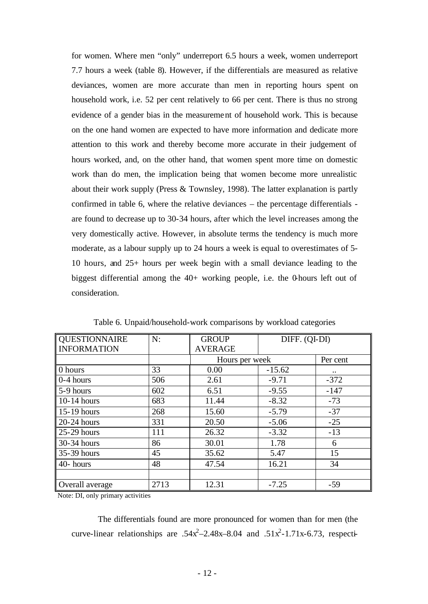for women. Where men "only" underreport 6.5 hours a week, women underreport 7.7 hours a week (table 8). However, if the differentials are measured as relative deviances, women are more accurate than men in reporting hours spent on household work, i.e. 52 per cent relatively to 66 per cent. There is thus no strong evidence of a gender bias in the measurement of household work. This is because on the one hand women are expected to have more information and dedicate more attention to this work and thereby become more accurate in their judgement of hours worked, and, on the other hand, that women spent more time on domestic work than do men, the implication being that women become more unrealistic about their work supply (Press & Townsley, 1998). The latter explanation is partly confirmed in table 6, where the relative deviances – the percentage differentials are found to decrease up to 30-34 hours, after which the level increases among the very domestically active. However, in absolute terms the tendency is much more moderate, as a labour supply up to 24 hours a week is equal to overestimates of 5- 10 hours, and 25+ hours per week begin with a small deviance leading to the biggest differential among the 40+ working people, i.e. the 0-hours left out of consideration.

| <b>QUESTIONNAIRE</b> | N:   | <b>GROUP</b>   | DIFF. (QI-DI) |             |
|----------------------|------|----------------|---------------|-------------|
| <b>INFORMATION</b>   |      | <b>AVERAGE</b> |               |             |
|                      |      | Hours per week |               | Per cent    |
| 0 hours              | 33   | 0.00           | $-15.62$      | $\bullet$ . |
| $0-4$ hours          | 506  | 2.61           | $-9.71$       | $-372$      |
| 5-9 hours            | 602  | 6.51           | $-9.55$       | $-147$      |
| $10-14$ hours        | 683  | 11.44          | $-8.32$       | $-73$       |
| 15-19 hours          | 268  | 15.60          | $-5.79$       | $-37$       |
| 20-24 hours          | 331  | 20.50          | $-5.06$       | $-25$       |
| 25-29 hours          | 111  | 26.32          | $-3.32$       | $-13$       |
| 30-34 hours          | 86   | 30.01          | 1.78          | 6           |
| 35-39 hours          | 45   | 35.62          | 5.47          | 15          |
| 40- hours            | 48   | 47.54          | 16.21         | 34          |
|                      |      |                |               |             |
| Overall average      | 2713 | 12.31          | $-7.25$       | $-59$       |

Table 6. Unpaid/household-work comparisons by workload categories

Note: DI, only primary activities

The differentials found are more pronounced for women than for men (the curve-linear relationships are .54 $x^2$ –2.48x–8.04 and .51 $x^2$ -1.71x-6.73, respecti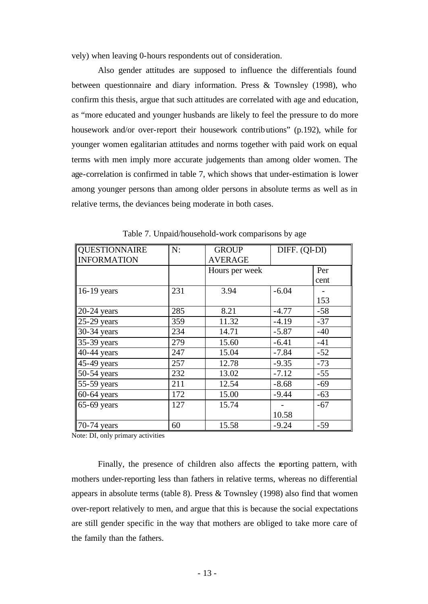vely) when leaving 0-hours respondents out of consideration.

Also gender attitudes are supposed to influence the differentials found between questionnaire and diary information. Press & Townsley (1998), who confirm this thesis, argue that such attitudes are correlated with age and education, as "more educated and younger husbands are likely to feel the pressure to do more housework and/or over-report their housework contributions" (p.192), while for younger women egalitarian attitudes and norms together with paid work on equal terms with men imply more accurate judgements than among older women. The age-correlation is confirmed in table 7, which shows that under-estimation is lower among younger persons than among older persons in absolute terms as well as in relative terms, the deviances being moderate in both cases.

| <b>QUESTIONNAIRE</b> | N:  | <b>GROUP</b>   | DIFF. (QI-DI) |       |
|----------------------|-----|----------------|---------------|-------|
| <b>INFORMATION</b>   |     | <b>AVERAGE</b> |               |       |
|                      |     | Hours per week |               | Per   |
|                      |     |                |               | cent  |
| 16-19 years          | 231 | 3.94           | $-6.04$       |       |
|                      |     |                |               | 153   |
| $20-24$ years        | 285 | 8.21           | $-4.77$       | $-58$ |
| $25-29$ years        | 359 | 11.32          | $-4.19$       | $-37$ |
| 30-34 years          | 234 | 14.71          | $-5.87$       | $-40$ |
| 35-39 years          | 279 | 15.60          | $-6.41$       | $-41$ |
| 40-44 years          | 247 | 15.04          | $-7.84$       | $-52$ |
| 45-49 years          | 257 | 12.78          | $-9.35$       | $-73$ |
| 50-54 years          | 232 | 13.02          | $-7.12$       | $-55$ |
| 55-59 years          | 211 | 12.54          | $-8.68$       | $-69$ |
| $60-64$ years        | 172 | 15.00          | $-9.44$       | $-63$ |
| $65-69$ years        | 127 | 15.74          |               | $-67$ |
|                      |     |                | 10.58         |       |
| 70-74 years          | 60  | 15.58          | $-9.24$       | $-59$ |

Table 7. Unpaid/household-work comparisons by age

Note: DI, only primary activities

Finally, the presence of children also affects the reporting pattern, with mothers under-reporting less than fathers in relative terms, whereas no differential appears in absolute terms (table 8). Press & Townsley (1998) also find that women over-report relatively to men, and argue that this is because the social expectations are still gender specific in the way that mothers are obliged to take more care of the family than the fathers.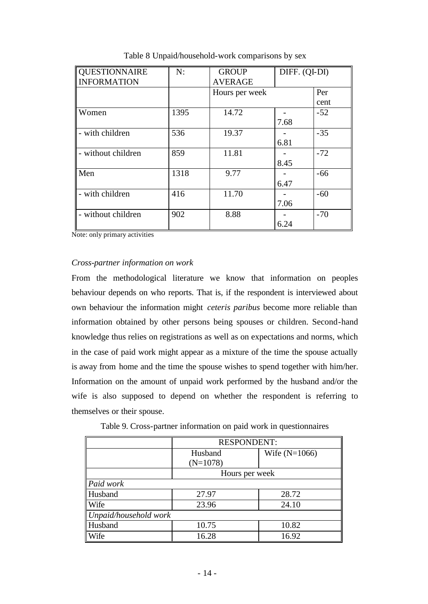| <b>QUESTIONNAIRE</b> | N:   | <b>GROUP</b>   | DIFF. (QI-DI) |       |
|----------------------|------|----------------|---------------|-------|
| <b>INFORMATION</b>   |      | <b>AVERAGE</b> |               |       |
|                      |      | Hours per week |               | Per   |
|                      |      |                |               | cent  |
| Women                | 1395 | 14.72          |               | $-52$ |
|                      |      |                | 7.68          |       |
| - with children      | 536  | 19.37          |               | $-35$ |
|                      |      |                | 6.81          |       |
| - without children   | 859  | 11.81          |               | $-72$ |
|                      |      |                | 8.45          |       |
| Men                  | 1318 | 9.77           |               | $-66$ |
|                      |      |                | 6.47          |       |
| - with children      | 416  | 11.70          |               | $-60$ |
|                      |      |                | 7.06          |       |
| - without children   | 902  | 8.88           |               | $-70$ |
|                      |      |                | 6.24          |       |

Table 8 Unpaid/household-work comparisons by sex

Note: only primary activities

#### *Cross-partner information on work*

From the methodological literature we know that information on peoples behaviour depends on who reports. That is, if the respondent is interviewed about own behaviour the information might *ceteris paribus* become more reliable than information obtained by other persons being spouses or children. Second-hand knowledge thus relies on registrations as well as on expectations and norms, which in the case of paid work might appear as a mixture of the time the spouse actually is away from home and the time the spouse wishes to spend together with him/her. Information on the amount of unpaid work performed by the husband and/or the wife is also supposed to depend on whether the respondent is referring to themselves or their spouse.

|                       | <b>RESPONDENT:</b> |                 |  |  |
|-----------------------|--------------------|-----------------|--|--|
|                       | Husband            | Wife $(N=1066)$ |  |  |
|                       | $(N=1078)$         |                 |  |  |
|                       | Hours per week     |                 |  |  |
| Paid work             |                    |                 |  |  |
| Husband               | 27.97              | 28.72           |  |  |
| Wife                  | 23.96              | 24.10           |  |  |
| Unpaid/household work |                    |                 |  |  |
| Husband               | 10.75              | 10.82           |  |  |
| Wife                  | 16.28              | 16.92           |  |  |

Table 9. Cross-partner information on paid work in questionnaires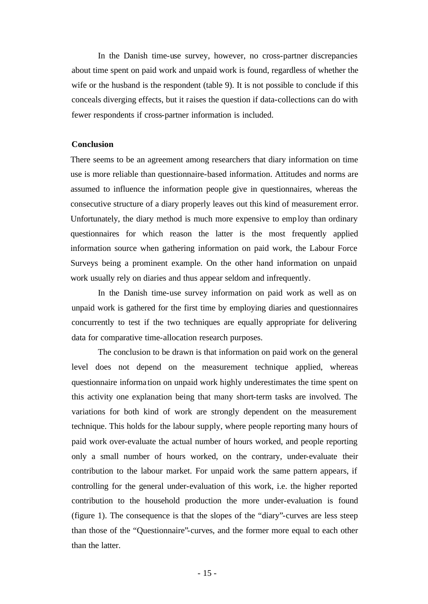In the Danish time-use survey, however, no cross-partner discrepancies about time spent on paid work and unpaid work is found, regardless of whether the wife or the husband is the respondent (table 9). It is not possible to conclude if this conceals diverging effects, but it raises the question if data-collections can do with fewer respondents if cross-partner information is included.

#### **Conclusion**

There seems to be an agreement among researchers that diary information on time use is more reliable than questionnaire-based information. Attitudes and norms are assumed to influence the information people give in questionnaires, whereas the consecutive structure of a diary properly leaves out this kind of measurement error. Unfortunately, the diary method is much more expensive to employ than ordinary questionnaires for which reason the latter is the most frequently applied information source when gathering information on paid work, the Labour Force Surveys being a prominent example. On the other hand information on unpaid work usually rely on diaries and thus appear seldom and infrequently.

In the Danish time-use survey information on paid work as well as on unpaid work is gathered for the first time by employing diaries and questionnaires concurrently to test if the two techniques are equally appropriate for delivering data for comparative time-allocation research purposes.

The conclusion to be drawn is that information on paid work on the general level does not depend on the measurement technique applied, whereas questionnaire informa tion on unpaid work highly underestimates the time spent on this activity one explanation being that many short-term tasks are involved. The variations for both kind of work are strongly dependent on the measurement technique. This holds for the labour supply, where people reporting many hours of paid work over-evaluate the actual number of hours worked, and people reporting only a small number of hours worked, on the contrary, under-evaluate their contribution to the labour market. For unpaid work the same pattern appears, if controlling for the general under-evaluation of this work, i.e. the higher reported contribution to the household production the more under-evaluation is found (figure 1). The consequence is that the slopes of the "diary"-curves are less steep than those of the "Questionnaire"-curves, and the former more equal to each other than the latter.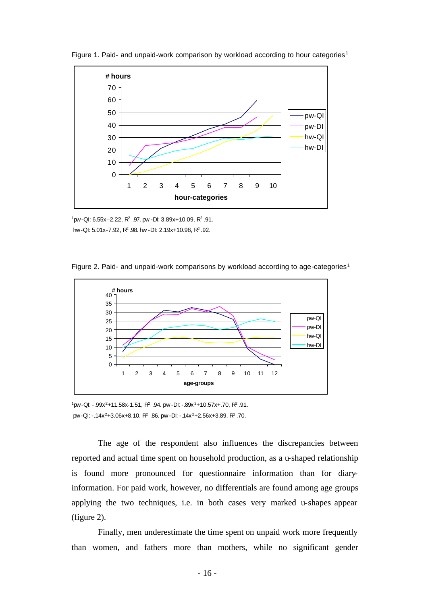

Figure 1. Paid- and unpaid-work comparison by workload according to hour categories<sup>1</sup>

 $1$ pw-QI: 6.55x–2.22, R<sup>2</sup>.97. pw -DI: 3.89x+10.09, R<sup>2</sup>.91. hw-QI: 5.01x-7.92, R<sup>2</sup>.98. hw -DI: 2.19x+10.98, R<sup>2</sup>.92.





 $1$ pw-QI: -.99x<sup>2</sup>+11.58x-1.51, R<sup>2</sup>.94. pw -DI: -.89x<sup>2</sup>+10.57x+.70, R<sup>2</sup>.91. pw-QI: -.14x<sup>2</sup>+3.06x+8.10, R<sup>2</sup>.86. pw -DI: -.14x<sup>2</sup>+2.56x+3.89, R<sup>2</sup>.70.

The age of the respondent also influences the discrepancies between reported and actual time spent on household production, as a u-shaped relationship is found more pronounced for questionnaire information than for diaryinformation. For paid work, however, no differentials are found among age groups applying the two techniques, i.e. in both cases very marked u-shapes appear (figure 2).

Finally, men underestimate the time spent on unpaid work more frequently than women, and fathers more than mothers, while no significant gender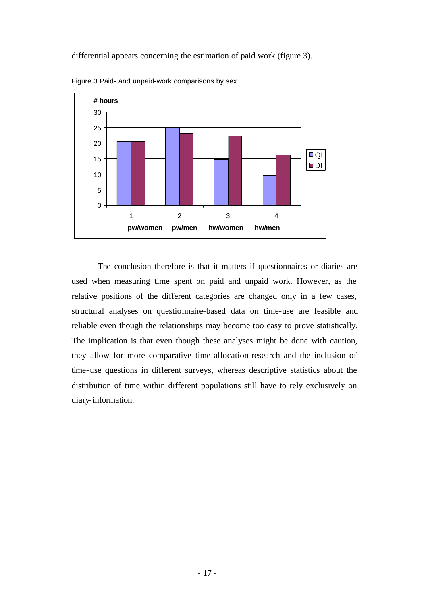differential appears concerning the estimation of paid work (figure 3).



Figure 3 Paid- and unpaid-work comparisons by sex

The conclusion therefore is that it matters if questionnaires or diaries are used when measuring time spent on paid and unpaid work. However, as the relative positions of the different categories are changed only in a few cases, structural analyses on questionnaire-based data on time-use are feasible and reliable even though the relationships may become too easy to prove statistically. The implication is that even though these analyses might be done with caution, they allow for more comparative time-allocation research and the inclusion of time-use questions in different surveys, whereas descriptive statistics about the distribution of time within different populations still have to rely exclusively on diary-information.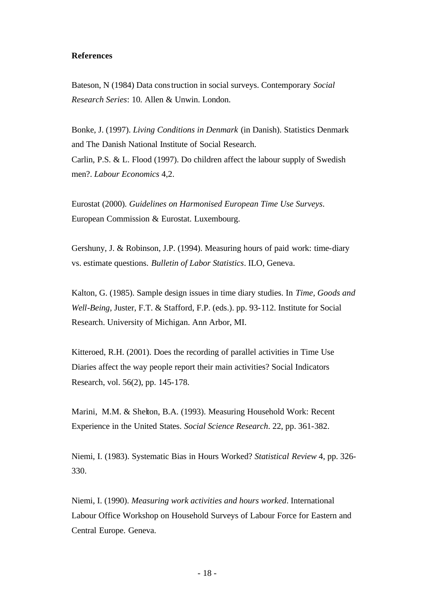#### **References**

Bateson, N (1984) Data construction in social surveys. Contemporary *Social Research Series*: 10. Allen & Unwin. London.

Bonke, J. (1997). *Living Conditions in Denmark* (in Danish). Statistics Denmark and The Danish National Institute of Social Research. Carlin, P.S. & L. Flood (1997). Do children affect the labour supply of Swedish men?. *Labour Economics* 4,2.

Eurostat (2000). *Guidelines on Harmonised European Time Use Surveys*. European Commission & Eurostat. Luxembourg.

Gershuny, J. & Robinson, J.P. (1994). Measuring hours of paid work: time-diary vs. estimate questions. *Bulletin of Labor Statistics*. ILO, Geneva.

Kalton, G. (1985). Sample design issues in time diary studies. In *Time, Goods and Well-Being*, Juster, F.T. & Stafford, F.P. (eds.). pp. 93-112. Institute for Social Research. University of Michigan. Ann Arbor, MI.

Kitteroed, R.H. (2001). Does the recording of parallel activities in Time Use Diaries affect the way people report their main activities? Social Indicators Research, vol. 56(2), pp. 145-178.

Marini, M.M. & Shelton, B.A. (1993). Measuring Household Work: Recent Experience in the United States. *Social Science Research*. 22, pp. 361-382.

Niemi, I. (1983). Systematic Bias in Hours Worked? *Statistical Review* 4, pp. 326- 330.

Niemi, I. (1990). *Measuring work activities and hours worked*. International Labour Office Workshop on Household Surveys of Labour Force for Eastern and Central Europe. Geneva.